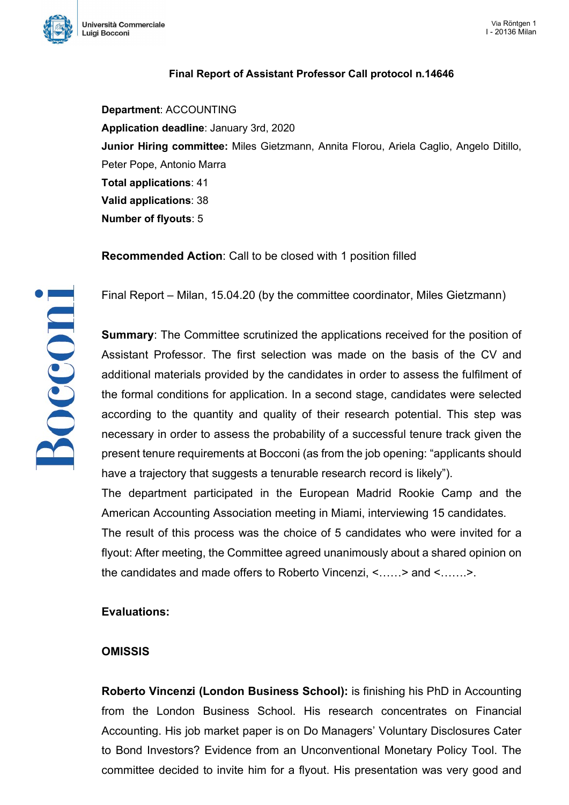

## Final Report of Assistant Professor Call protocol n.14646

Department: ACCOUNTING Application deadline: January 3rd, 2020 Junior Hiring committee: Miles Gietzmann, Annita Florou, Ariela Caglio, Angelo Ditillo, Peter Pope, Antonio Marra Total applications: 41 Valid applications: 38 Number of flyouts: 5

Recommended Action: Call to be closed with 1 position filled

Final Report – Milan, 15.04.20 (by the committee coordinator, Miles Gietzmann)

**Summary:** The Committee scrutinized the applications received for the position of Assistant Professor. The first selection was made on the basis of the CV and additional materials provided by the candidates in order to assess the fulfilment of the formal conditions for application. In a second stage, candidates were selected according to the quantity and quality of their research potential. This step was necessary in order to assess the probability of a successful tenure track given the present tenure requirements at Bocconi (as from the job opening: "applicants should have a trajectory that suggests a tenurable research record is likely").

The department participated in the European Madrid Rookie Camp and the American Accounting Association meeting in Miami, interviewing 15 candidates.

The result of this process was the choice of 5 candidates who were invited for a flyout: After meeting, the Committee agreed unanimously about a shared opinion on the candidates and made offers to Roberto Vincenzi, <……> and <…….>.

## Evaluations:

## **OMISSIS**

Roberto Vincenzi (London Business School): is finishing his PhD in Accounting from the London Business School. His research concentrates on Financial Accounting. His job market paper is on Do Managers' Voluntary Disclosures Cater to Bond Investors? Evidence from an Unconventional Monetary Policy Tool. The committee decided to invite him for a flyout. His presentation was very good and